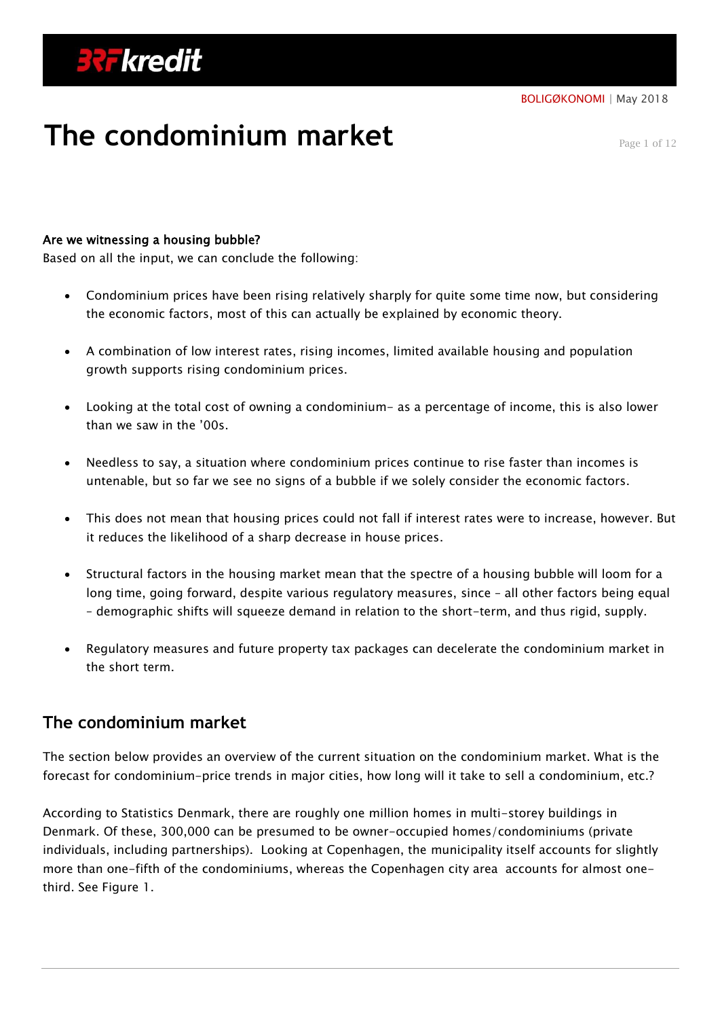# **The condominium market**

Page 1 of 12

## Are we witnessing a housing bubble?

Based on all the input, we can conclude the following:

- Condominium prices have been rising relatively sharply for quite some time now, but considering the economic factors, most of this can actually be explained by economic theory.
- A combination of low interest rates, rising incomes, limited available housing and population growth supports rising condominium prices.
- Looking at the total cost of owning a condominium- as a percentage of income, this is also lower than we saw in the '00s.
- Needless to say, a situation where condominium prices continue to rise faster than incomes is untenable, but so far we see no signs of a bubble if we solely consider the economic factors.
- This does not mean that housing prices could not fall if interest rates were to increase, however. But it reduces the likelihood of a sharp decrease in house prices.
- Structural factors in the housing market mean that the spectre of a housing bubble will loom for a long time, going forward, despite various regulatory measures, since – all other factors being equal – demographic shifts will squeeze demand in relation to the short-term, and thus rigid, supply.
- Regulatory measures and future property tax packages can decelerate the condominium market in the short term.

# **The condominium market**

The section below provides an overview of the current situation on the condominium market. What is the forecast for condominium-price trends in major cities, how long will it take to sell a condominium, etc.?

According to Statistics Denmark, there are roughly one million homes in multi-storey buildings in Denmark. Of these, 300,000 can be presumed to be owner-occupied homes/condominiums (private individuals, including partnerships). Looking at Copenhagen, the municipality itself accounts for slightly more than one-fifth of the condominiums, whereas the Copenhagen city area accounts for almost onethird. See Figure 1.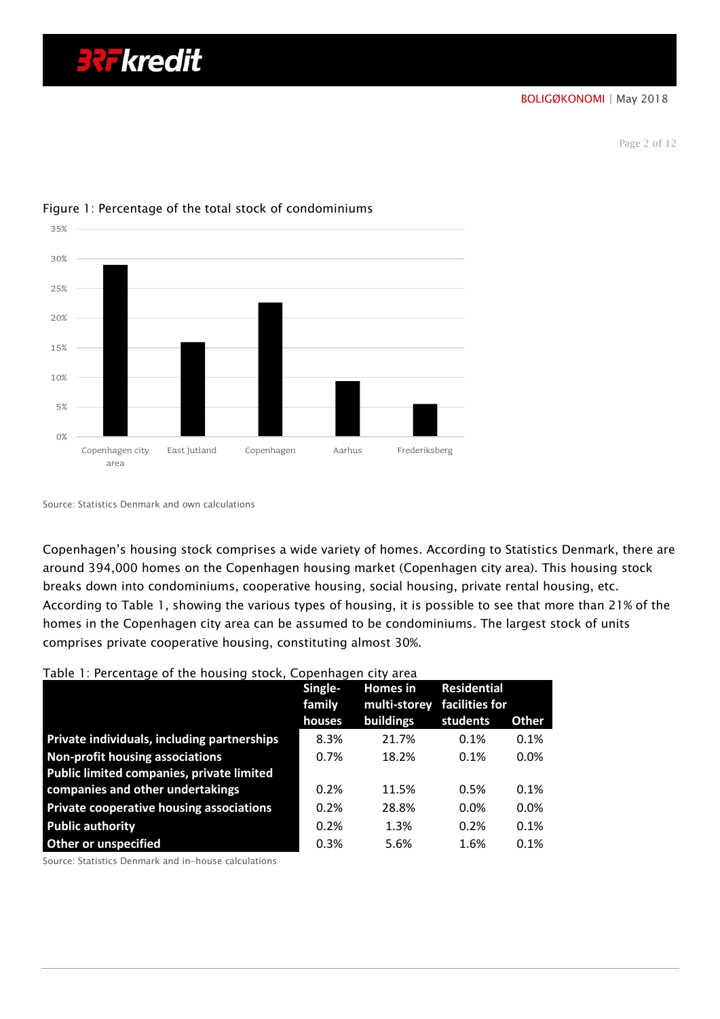BOLIGØKONOMI | May 2018

Page 2 of 12



#### Figure 1: Percentage of the total stock of condominiums

**32F kredit** 

Copenhagen's housing stock comprises a wide variety of homes. According to Statistics Denmark, there are around 394,000 homes on the Copenhagen housing market (Copenhagen city area). This housing stock breaks down into condominiums, cooperative housing, social housing, private rental housing, etc. According to Table 1, showing the various types of housing, it is possible to see that more than 21% of the homes in the Copenhagen city area can be assumed to be condominiums. The largest stock of units comprises private cooperative housing, constituting almost 30%.

#### Table 1: Percentage of the housing stock, Copenhagen city area

|                                                                                                                                                                                                                                       | Single-<br>family | <b>Homes</b> in<br>multi-storey | <b>Residential</b><br>facilities for |              |
|---------------------------------------------------------------------------------------------------------------------------------------------------------------------------------------------------------------------------------------|-------------------|---------------------------------|--------------------------------------|--------------|
|                                                                                                                                                                                                                                       | houses            | buildings                       | students                             | <b>Other</b> |
| Private individuals, including partnerships                                                                                                                                                                                           | 8.3%              | 21.7%                           | 0.1%                                 | 0.1%         |
| <b>Non-profit housing associations</b>                                                                                                                                                                                                | 0.7%              | 18.2%                           | 0.1%                                 | 0.0%         |
| Public limited companies, private limited                                                                                                                                                                                             |                   |                                 |                                      |              |
| companies and other undertakings                                                                                                                                                                                                      | 0.2%              | 11.5%                           | 0.5%                                 | 0.1%         |
| Private cooperative housing associations                                                                                                                                                                                              | 0.2%              | 28.8%                           | $0.0\%$                              | 0.0%         |
| <b>Public authority</b>                                                                                                                                                                                                               | 0.2%              | 1.3%                            | 0.2%                                 | 0.1%         |
| <b>Other or unspecified</b>                                                                                                                                                                                                           | 0.3%              | 5.6%                            | 1.6%                                 | 0.1%         |
| $\sigma$ . $\sigma$ is the contract of the contract of the contract of the contract of the contract of the contract of the contract of the contract of the contract of the contract of the contract of the contract of the contract o |                   |                                 |                                      |              |

Source: Statistics Denmark and in-house calculations

Source: Statistics Denmark and own calculations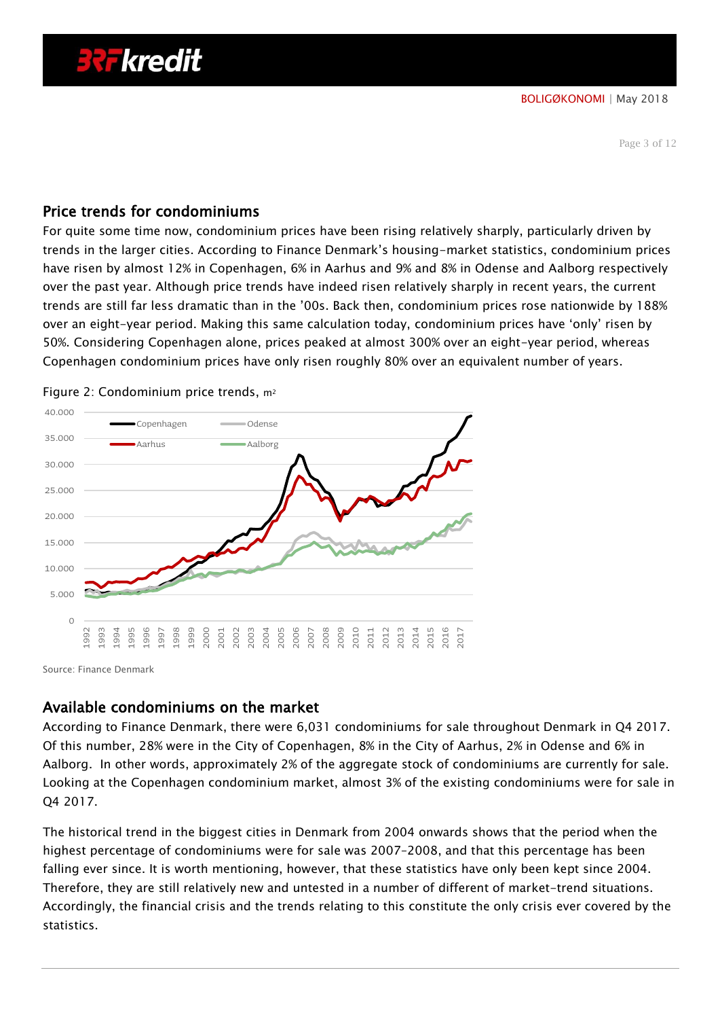## Price trends for condominiums

For quite some time now, condominium prices have been rising relatively sharply, particularly driven by trends in the larger cities. According to Finance Denmark's housing-market statistics, condominium prices have risen by almost 12% in Copenhagen, 6% in Aarhus and 9% and 8% in Odense and Aalborg respectively over the past year. Although price trends have indeed risen relatively sharply in recent years, the current trends are still far less dramatic than in the '00s. Back then, condominium prices rose nationwide by 188% over an eight-year period. Making this same calculation today, condominium prices have 'only' risen by 50%. Considering Copenhagen alone, prices peaked at almost 300% over an eight-year period, whereas Copenhagen condominium prices have only risen roughly 80% over an equivalent number of years.



Figure 2: Condominium price trends, m<sup>2</sup>

Source: Finance Denmark

## Available condominiums on the market

According to Finance Denmark, there were 6,031 condominiums for sale throughout Denmark in Q4 2017. Of this number, 28% were in the City of Copenhagen, 8% in the City of Aarhus, 2% in Odense and 6% in Aalborg. In other words, approximately 2% of the aggregate stock of condominiums are currently for sale. Looking at the Copenhagen condominium market, almost 3% of the existing condominiums were for sale in Q4 2017.

The historical trend in the biggest cities in Denmark from 2004 onwards shows that the period when the highest percentage of condominiums were for sale was 2007–2008, and that this percentage has been falling ever since. It is worth mentioning, however, that these statistics have only been kept since 2004. Therefore, they are still relatively new and untested in a number of different of market-trend situations. Accordingly, the financial crisis and the trends relating to this constitute the only crisis ever covered by the statistics.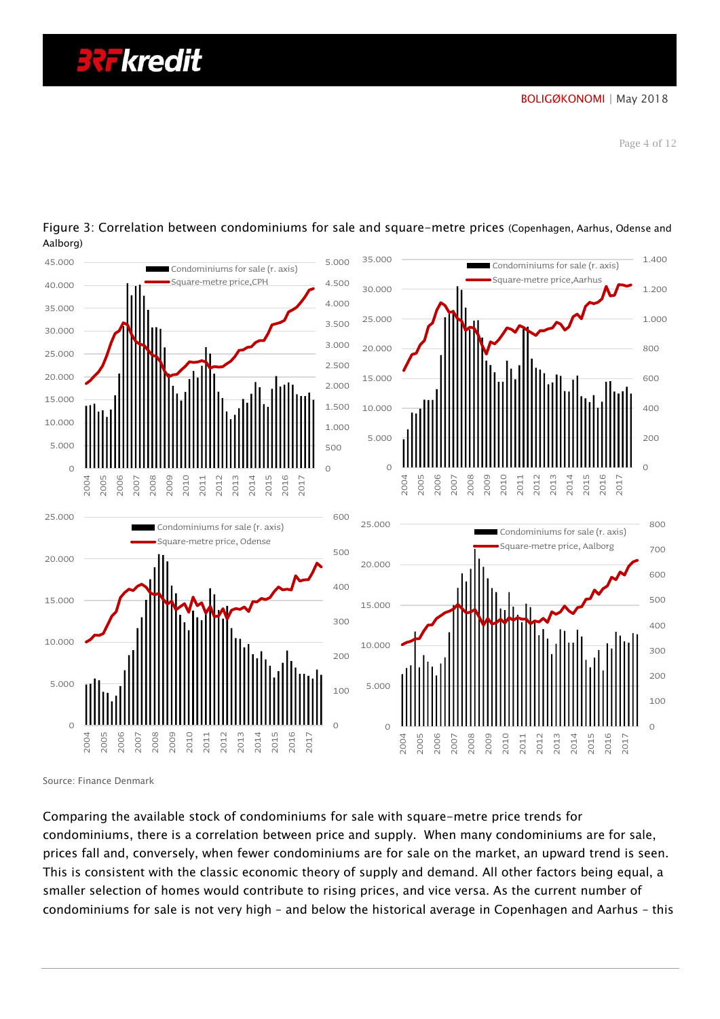# **321 kredit**



Figure 3: Correlation between condominiums for sale and square-metre prices (Copenhagen, Aarhus, Odense and Aalborg)

Source: Finance Denmark

Comparing the available stock of condominiums for sale with square-metre price trends for condominiums, there is a correlation between price and supply. When many condominiums are for sale, prices fall and, conversely, when fewer condominiums are for sale on the market, an upward trend is seen. This is consistent with the classic economic theory of supply and demand. All other factors being equal, a smaller selection of homes would contribute to rising prices, and vice versa. As the current number of condominiums for sale is not very high – and below the historical average in Copenhagen and Aarhus – this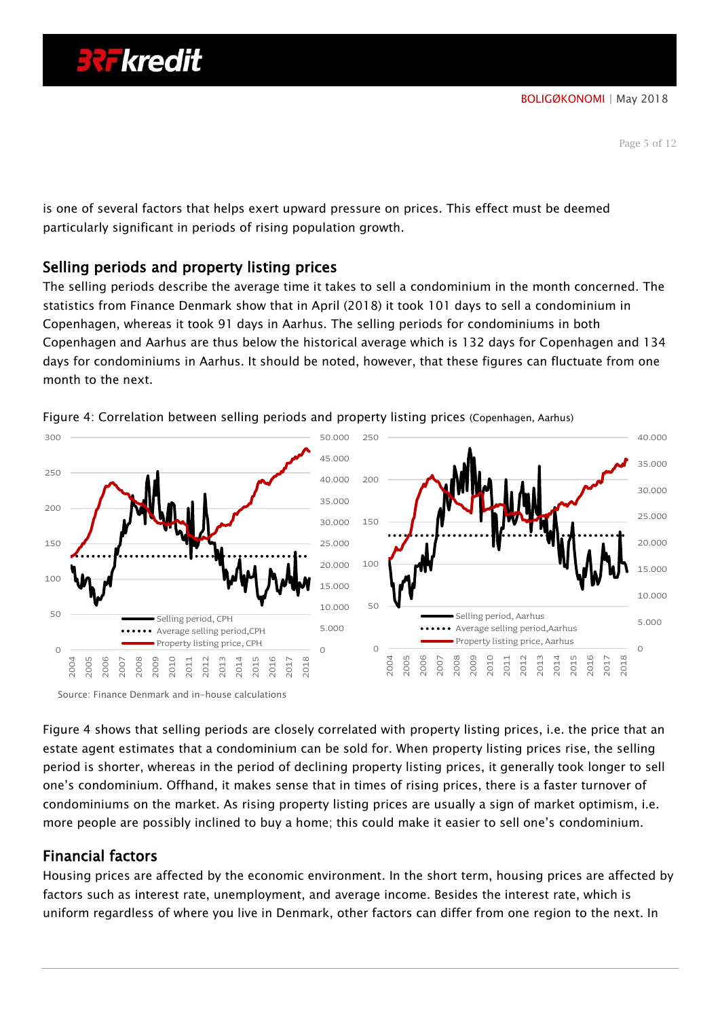is one of several factors that helps exert upward pressure on prices. This effect must be deemed particularly significant in periods of rising population growth.

# Selling periods and property listing prices

The selling periods describe the average time it takes to sell a condominium in the month concerned. The statistics from Finance Denmark show that in April (2018) it took 101 days to sell a condominium in Copenhagen, whereas it took 91 days in Aarhus. The selling periods for condominiums in both Copenhagen and Aarhus are thus below the historical average which is 132 days for Copenhagen and 134 days for condominiums in Aarhus. It should be noted, however, that these figures can fluctuate from one month to the next.



Figure 4: Correlation between selling periods and property listing prices (Copenhagen, Aarhus)

Source: Finance Denmark and in-house calculations

Figure 4 shows that selling periods are closely correlated with property listing prices, i.e. the price that an estate agent estimates that a condominium can be sold for. When property listing prices rise, the selling period is shorter, whereas in the period of declining property listing prices, it generally took longer to sell one's condominium. Offhand, it makes sense that in times of rising prices, there is a faster turnover of condominiums on the market. As rising property listing prices are usually a sign of market optimism, i.e. more people are possibly inclined to buy a home; this could make it easier to sell one's condominium.

# Financial factors

Housing prices are affected by the economic environment. In the short term, housing prices are affected by factors such as interest rate, unemployment, and average income. Besides the interest rate, which is uniform regardless of where you live in Denmark, other factors can differ from one region to the next. In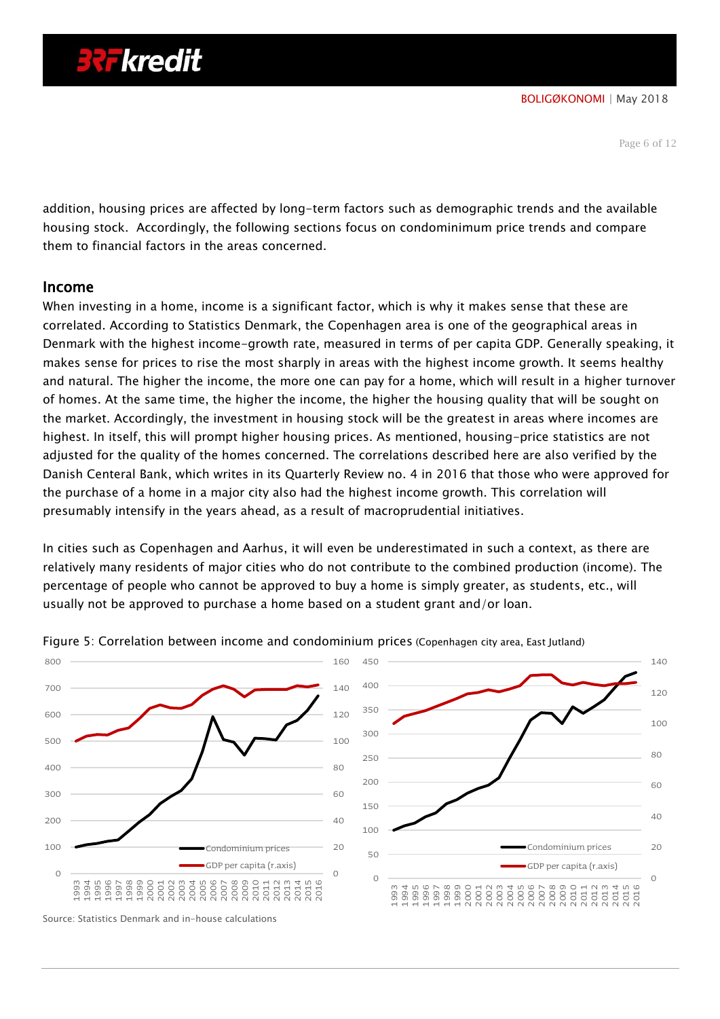Page 6 of 12

addition, housing prices are affected by long-term factors such as demographic trends and the available housing stock. Accordingly, the following sections focus on condominimum price trends and compare them to financial factors in the areas concerned.

## Income

When investing in a home, income is a significant factor, which is why it makes sense that these are correlated. According to Statistics Denmark, the Copenhagen area is one of the geographical areas in Denmark with the highest income-growth rate, measured in terms of per capita GDP. Generally speaking, it makes sense for prices to rise the most sharply in areas with the highest income growth. It seems healthy and natural. The higher the income, the more one can pay for a home, which will result in a higher turnover of homes. At the same time, the higher the income, the higher the housing quality that will be sought on the market. Accordingly, the investment in housing stock will be the greatest in areas where incomes are highest. In itself, this will prompt higher housing prices. As mentioned, housing-price statistics are not adjusted for the quality of the homes concerned. The correlations described here are also verified by the Danish Centeral Bank, which writes in its Quarterly Review no. 4 in 2016 that those who were approved for the purchase of a home in a major city also had the highest income growth. This correlation will presumably intensify in the years ahead, as a result of macroprudential initiatives.

In cities such as Copenhagen and Aarhus, it will even be underestimated in such a context, as there are relatively many residents of major cities who do not contribute to the combined production (income). The percentage of people who cannot be approved to buy a home is simply greater, as students, etc., will usually not be approved to purchase a home based on a student grant and/or loan.



Figure 5: Correlation between income and condominium prices (Copenhagen city area, East Jutland)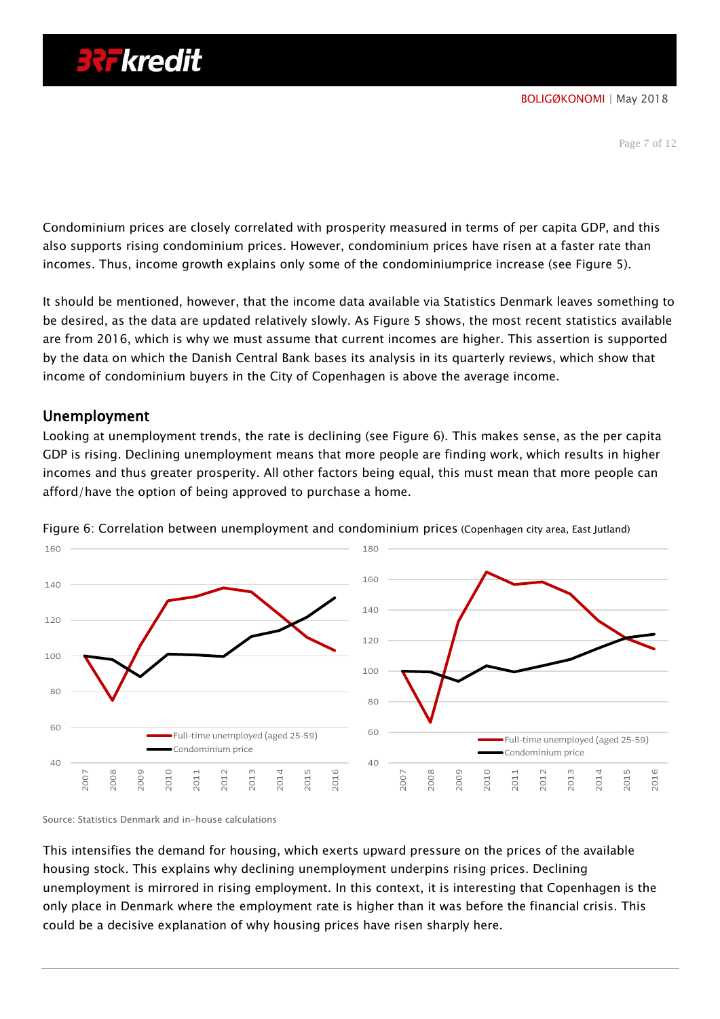Condominium prices are closely correlated with prosperity measured in terms of per capita GDP, and this also supports rising condominium prices. However, condominium prices have risen at a faster rate than incomes. Thus, income growth explains only some of the condominiumprice increase (see Figure 5).

It should be mentioned, however, that the income data available via Statistics Denmark leaves something to be desired, as the data are updated relatively slowly. As Figure 5 shows, the most recent statistics available are from 2016, which is why we must assume that current incomes are higher. This assertion is supported by the data on which the Danish Central Bank bases its analysis in its quarterly reviews, which show that income of condominium buyers in the City of Copenhagen is above the average income.

## Unemployment

Looking at unemployment trends, the rate is declining (see Figure 6). This makes sense, as the per capita GDP is rising. Declining unemployment means that more people are finding work, which results in higher incomes and thus greater prosperity. All other factors being equal, this must mean that more people can afford/have the option of being approved to purchase a home.



Figure 6: Correlation between unemployment and condominium prices (Copenhagen city area, East Jutland)

Source: Statistics Denmark and in-house calculations

This intensifies the demand for housing, which exerts upward pressure on the prices of the available housing stock. This explains why declining unemployment underpins rising prices. Declining unemployment is mirrored in rising employment. In this context, it is interesting that Copenhagen is the only place in Denmark where the employment rate is higher than it was before the financial crisis. This could be a decisive explanation of why housing prices have risen sharply here.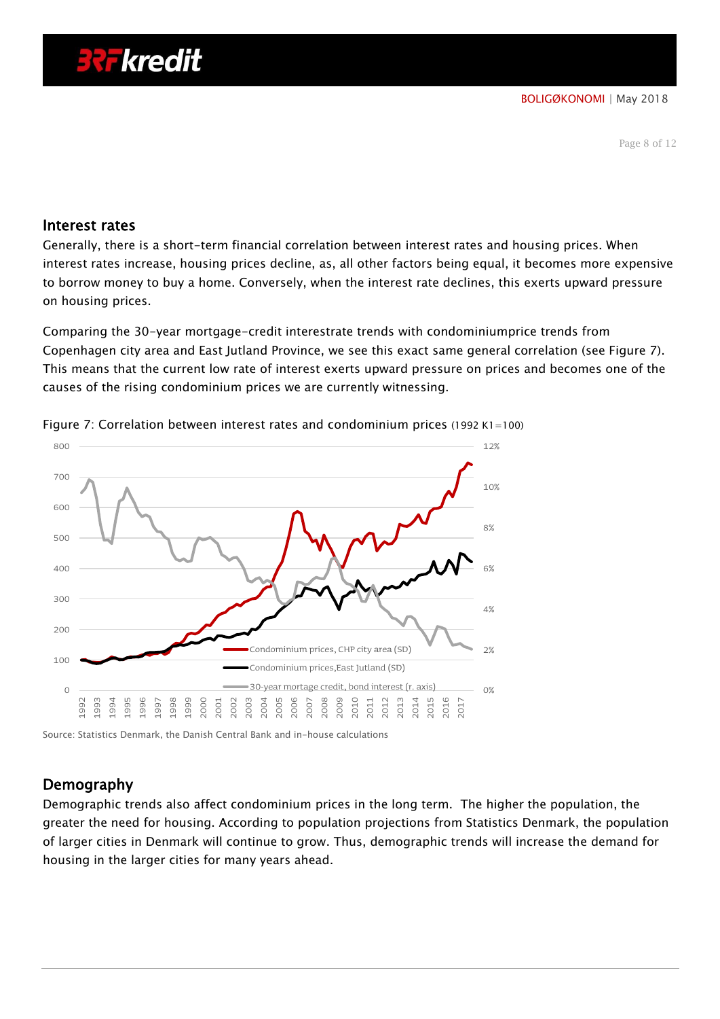#### Interest rates

Generally, there is a short-term financial correlation between interest rates and housing prices. When interest rates increase, housing prices decline, as, all other factors being equal, it becomes more expensive to borrow money to buy a home. Conversely, when the interest rate declines, this exerts upward pressure on housing prices.

Comparing the 30-year mortgage-credit interestrate trends with condominiumprice trends from Copenhagen city area and East Jutland Province, we see this exact same general correlation (see Figure 7). This means that the current low rate of interest exerts upward pressure on prices and becomes one of the causes of the rising condominium prices we are currently witnessing.



Figure 7: Correlation between interest rates and condominium prices (1992 K1=100)

Source: Statistics Denmark, the Danish Central Bank and in-house calculations

# Demography

Demographic trends also affect condominium prices in the long term. The higher the population, the greater the need for housing. According to population projections from Statistics Denmark, the population of larger cities in Denmark will continue to grow. Thus, demographic trends will increase the demand for housing in the larger cities for many years ahead.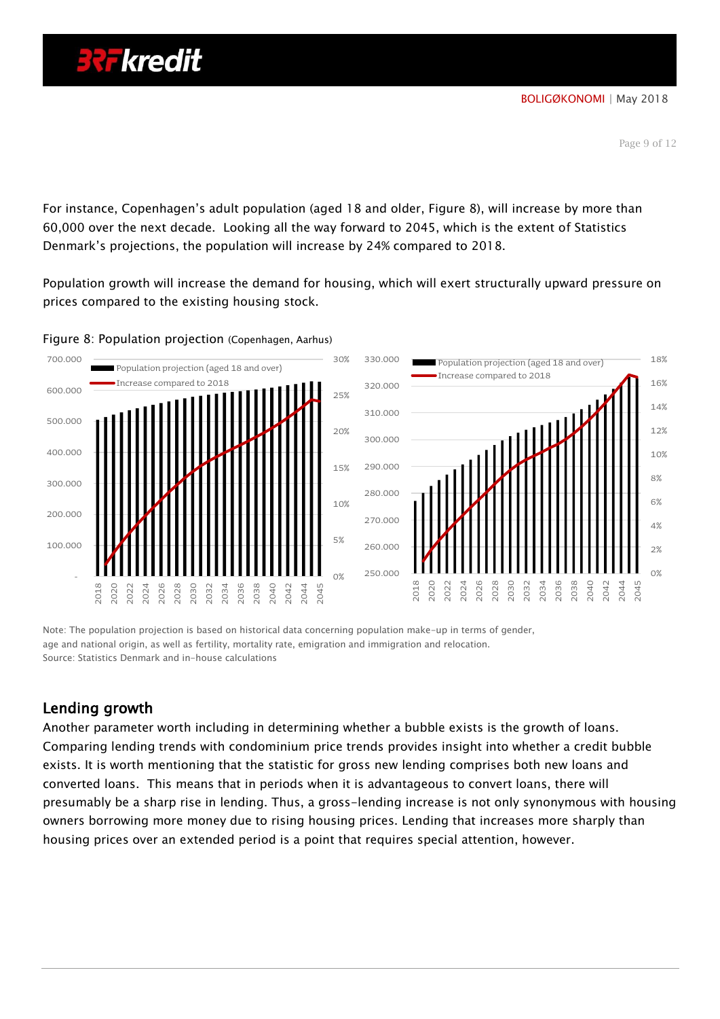For instance, Copenhagen's adult population (aged 18 and older, Figure 8), will increase by more than 60,000 over the next decade. Looking all the way forward to 2045, which is the extent of Statistics Denmark's projections, the population will increase by 24% compared to 2018.

Population growth will increase the demand for housing, which will exert structurally upward pressure on prices compared to the existing housing stock.



Figure 8: Population projection (Copenhagen, Aarhus)

Note: The population projection is based on historical data concerning population make-up in terms of gender, age and national origin, as well as fertility, mortality rate, emigration and immigration and relocation. Source: Statistics Denmark and in-house calculations

# Lending growth

Another parameter worth including in determining whether a bubble exists is the growth of loans. Comparing lending trends with condominium price trends provides insight into whether a credit bubble exists. It is worth mentioning that the statistic for gross new lending comprises both new loans and converted loans. This means that in periods when it is advantageous to convert loans, there will presumably be a sharp rise in lending. Thus, a gross-lending increase is not only synonymous with housing owners borrowing more money due to rising housing prices. Lending that increases more sharply than housing prices over an extended period is a point that requires special attention, however.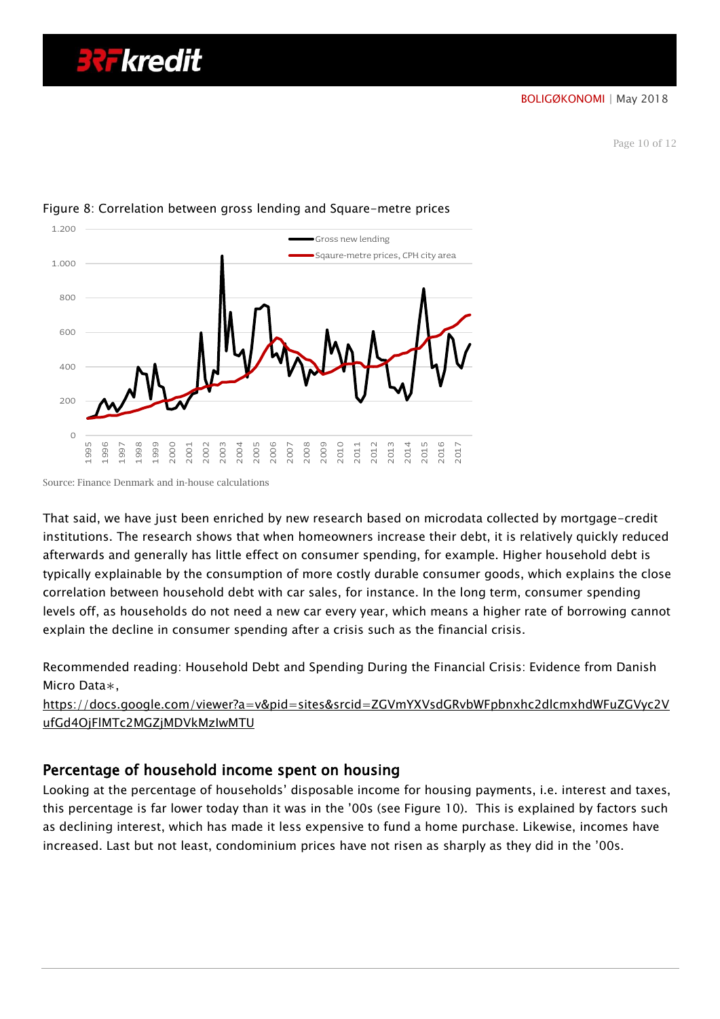Page 10 of 12



## Figure 8: Correlation between gross lending and Square-metre prices

That said, we have just been enriched by new research based on microdata collected by mortgage-credit institutions. The research shows that when homeowners increase their debt, it is relatively quickly reduced afterwards and generally has little effect on consumer spending, for example. Higher household debt is typically explainable by the consumption of more costly durable consumer goods, which explains the close correlation between household debt with car sales, for instance. In the long term, consumer spending levels off, as households do not need a new car every year, which means a higher rate of borrowing cannot explain the decline in consumer spending after a crisis such as the financial crisis.

Recommended reading: Household Debt and Spending During the Financial Crisis: Evidence from Danish Micro Data∗,

[https://docs.google.com/viewer?a=v&pid=sites&srcid=ZGVmYXVsdGRvbWFpbnxhc2dlcmxhdWFuZGVyc2V](https://docs.google.com/viewer?a=v&pid=sites&srcid=ZGVmYXVsdGRvbWFpbnxhc2dlcmxhdWFuZGVyc2VufGd4OjFlMTc2MGZjMDVkMzIwMTU) [ufGd4OjFlMTc2MGZjMDVkMzIwMTU](https://docs.google.com/viewer?a=v&pid=sites&srcid=ZGVmYXVsdGRvbWFpbnxhc2dlcmxhdWFuZGVyc2VufGd4OjFlMTc2MGZjMDVkMzIwMTU)

# Percentage of household income spent on housing

Looking at the percentage of households' disposable income for housing payments, i.e. interest and taxes, this percentage is far lower today than it was in the '00s (see Figure 10). This is explained by factors such as declining interest, which has made it less expensive to fund a home purchase. Likewise, incomes have increased. Last but not least, condominium prices have not risen as sharply as they did in the '00s.

Source: Finance Denmark and in-house calculations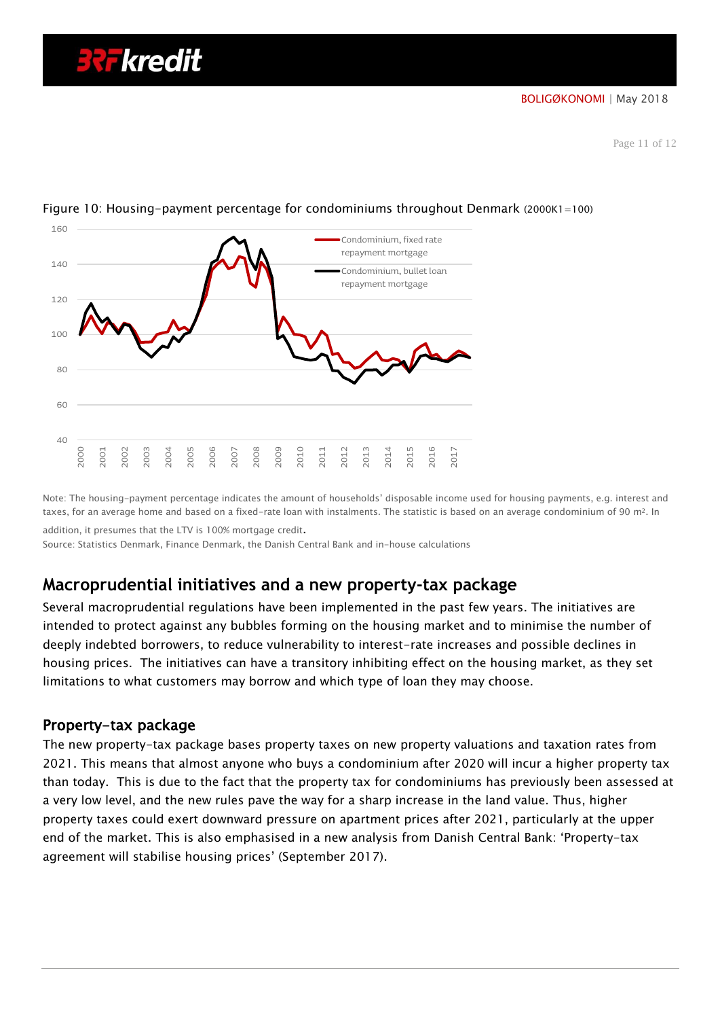

## Figure 10: Housing-payment percentage for condominiums throughout Denmark (2000K1=100)

Note: The housing-payment percentage indicates the amount of households' disposable income used for housing payments, e.g. interest and taxes, for an average home and based on a fixed-rate loan with instalments. The statistic is based on an average condominium of 90 m<sup>2</sup>. In addition, it presumes that the LTV is 100% mortgage credit.

Source: Statistics Denmark, Finance Denmark, the Danish Central Bank and in-house calculations

# **Macroprudential initiatives and a new property-tax package**

Several macroprudential regulations have been implemented in the past few years. The initiatives are intended to protect against any bubbles forming on the housing market and to minimise the number of deeply indebted borrowers, to reduce vulnerability to interest-rate increases and possible declines in housing prices. The initiatives can have a transitory inhibiting effect on the housing market, as they set limitations to what customers may borrow and which type of loan they may choose.

## Property-tax package

The new property-tax package bases property taxes on new property valuations and taxation rates from 2021. This means that almost anyone who buys a condominium after 2020 will incur a higher property tax than today. This is due to the fact that the property tax for condominiums has previously been assessed at a very low level, and the new rules pave the way for a sharp increase in the land value. Thus, higher property taxes could exert downward pressure on apartment prices after 2021, particularly at the upper end of the market. This is also emphasised in a new analysis from Danish Central Bank: 'Property-tax agreement will stabilise housing prices' (September 2017).